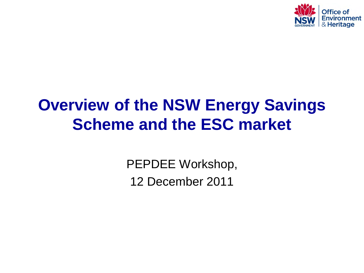

# **Overview of the NSW Energy Savings Scheme and the ESC market**

PEPDEE Workshop, 12 December 2011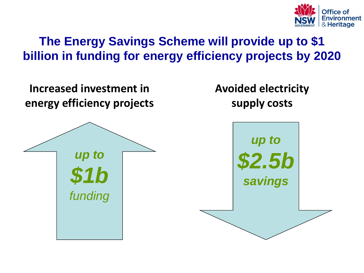

# **The Energy Savings Scheme will provide up to \$1 billion in funding for energy efficiency projects by 2020**

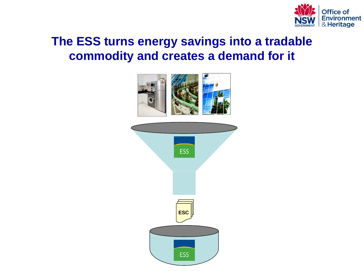

#### **The ESS turns energy savings into a tradable commodity and creates a demand for it**



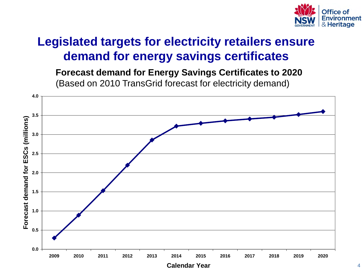

# **Legislated targets for electricity retailers ensure demand for energy savings certificates**

 (Based on 2010 TransGrid forecast for electricity demand) **Forecast demand for Energy Savings Certificates to 2020**

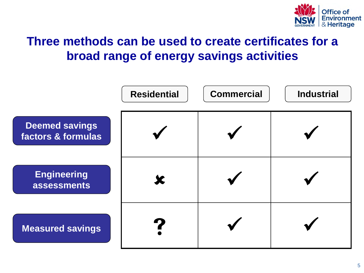

### **Three methods can be used to create certificates for a broad range of energy savings activities**

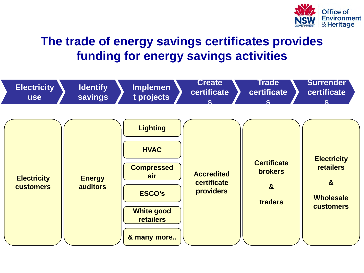

# **The trade of energy savings certificates provides funding for energy savings activities**

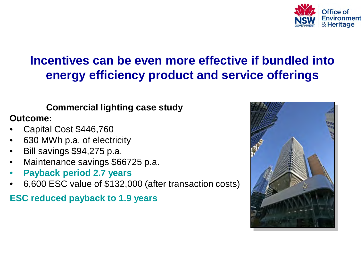

### **Incentives can be even more effective if bundled into energy efficiency product and service offerings**

#### **Commercial lighting case study**

#### **Outcome:**

- Capital Cost \$446,760
- 630 MWh p.a. of electricity
- Bill savings \$94,275 p.a.
- Maintenance savings \$66725 p.a.
- **Payback period 2.7 years**
- 6,600 ESC value of \$132,000 (after transaction costs)

**ESC reduced payback to 1.9 years**

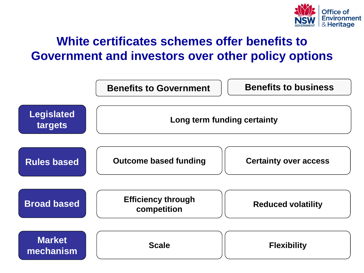

### **White certificates schemes offer benefits to Government and investors over other policy options**

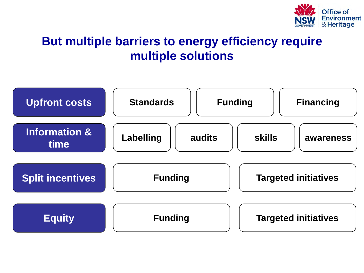

# **But multiple barriers to energy efficiency require multiple solutions**